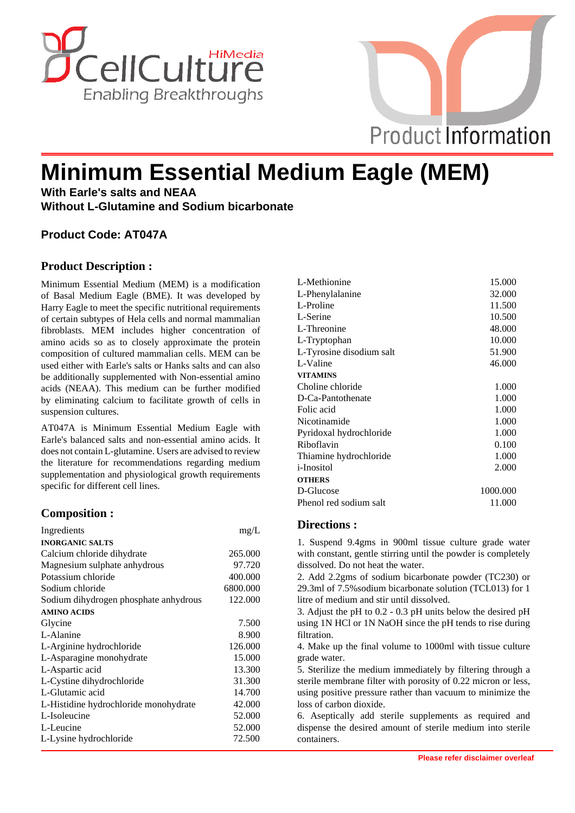



# **Minimum Essential Medium Eagle (MEM)**

**With Earle's salts and NEAA Without L-Glutamine and Sodium bicarbonate**

# **Product Code: AT047A**

## **Product Description :**

Minimum Essential Medium (MEM) is a modification of Basal Medium Eagle (BME). It was developed by Harry Eagle to meet the specific nutritional requirements of certain subtypes of Hela cells and normal mammalian fibroblasts. MEM includes higher concentration of amino acids so as to closely approximate the protein composition of cultured mammalian cells. MEM can be used either with Earle's salts or Hanks salts and can also be additionally supplemented with Non-essential amino acids (NEAA). This medium can be further modified by eliminating calcium to facilitate growth of cells in suspension cultures.

AT047A is Minimum Essential Medium Eagle with Earle's balanced salts and non-essential amino acids. It does not contain L-glutamine. Users are advised to review the literature for recommendations regarding medium supplementation and physiological growth requirements specific for different cell lines.

#### **Composition :**

| Ingredients                           | mg/L     |
|---------------------------------------|----------|
| <b>INORGANIC SALTS</b>                |          |
| Calcium chloride dihydrate            | 265.000  |
| Magnesium sulphate anhydrous          | 97.720   |
| Potassium chloride                    | 400.000  |
| Sodium chloride                       | 6800.000 |
| Sodium dihydrogen phosphate anhydrous | 122.000  |
| <b>AMINO ACIDS</b>                    |          |
| Glycine                               | 7.500    |
| L-Alanine                             | 8.900    |
| L-Arginine hydrochloride              | 126.000  |
| L-Asparagine monohydrate              | 15.000   |
| L-Aspartic acid                       | 13.300   |
| L-Cystine dihydrochloride             | 31.300   |
| L-Glutamic acid                       | 14.700   |
| L-Histidine hydrochloride monohydrate | 42.000   |
| L-Isoleucine                          | 52.000   |
| L-Leucine                             | 52.000   |
| L-Lysine hydrochloride                | 72.500   |
|                                       |          |

| L-Methionine             | 15.000   |
|--------------------------|----------|
| L-Phenylalanine          | 32.000   |
| L-Proline                | 11.500   |
| L-Serine                 | 10.500   |
| L-Threonine              | 48.000   |
| L-Tryptophan             | 10.000   |
| L-Tyrosine disodium salt | 51.900   |
| L-Valine                 | 46.000   |
| <b>VITAMINS</b>          |          |
| Choline chloride         | 1.000    |
| D-Ca-Pantothenate        | 1.000    |
| Folic acid               | 1.000    |
| Nicotinamide             | 1.000    |
| Pyridoxal hydrochloride  | 1.000    |
| Riboflavin               | 0.100    |
| Thiamine hydrochloride   | 1.000    |
| <i>i</i> -Inositol       | 2.000    |
| <b>OTHERS</b>            |          |
| D-Glucose                | 1000.000 |
| Phenol red sodium salt   | 11.000   |
|                          |          |

## **Directions :**

1. Suspend 9.4gms in 900ml tissue culture grade water with constant, gentle stirring until the powder is completely dissolved. Do not heat the water.

2. Add 2.2gms of sodium bicarbonate powder (TC230) or 29.3ml of 7.5%sodium bicarbonate solution (TCL013) for 1 litre of medium and stir until dissolved.

3. Adjust the pH to 0.2 - 0.3 pH units below the desired pH using 1N HCl or 1N NaOH since the pH tends to rise during filtration.

4. Make up the final volume to 1000ml with tissue culture grade water.

5. Sterilize the medium immediately by filtering through a sterile membrane filter with porosity of 0.22 micron or less, using positive pressure rather than vacuum to minimize the loss of carbon dioxide.

6. Aseptically add sterile supplements as required and dispense the desired amount of sterile medium into sterile containers.